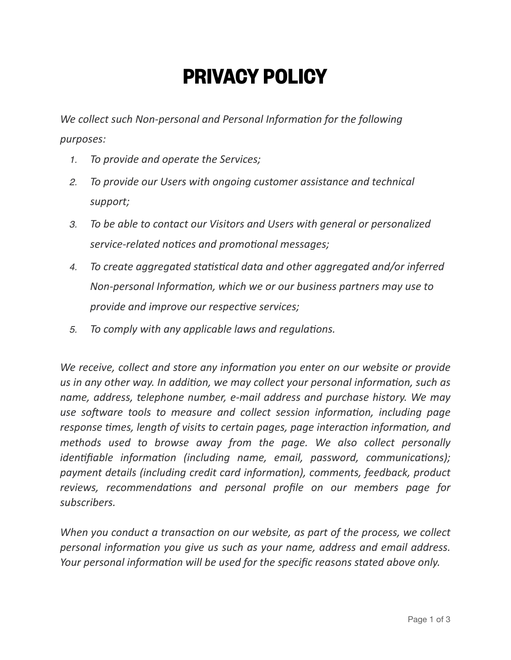## **PRIVACY POLICY**

*We collect such Non-personal and Personal Information for the following purposes:*

- *1. To provide and operate the Services;*
- *2. To provide our Users with ongoing customer assistance and technical support;*
- *3. To be able to contact our Visitors and Users with general or personalized service-related notices and promotional messages;*
- *4. To create aggregated statistical data and other aggregated and/or inferred Non-personal Information, which we or our business partners may use to provide and improve our respective services;*
- *5. To comply with any applicable laws and regulations.*

*We receive, collect and store any information you enter on our website or provide us in any other way. In addition, we may collect your personal information, such as name, address, telephone number, e-mail address and purchase history. We may use software tools to measure and collect session information, including page response times, length of visits to certain pages, page interaction information, and methods used to browse away from the page. We also collect personally identifiable information (including name, email, password, communications); payment details (including credit card information), comments, feedback, product reviews, recommendations and personal profile on our members page for subscribers.*

*When you conduct a transaction on our website, as part of the process, we collect personal information you give us such as your name, address and email address. Your personal information will be used for the specific reasons stated above only.*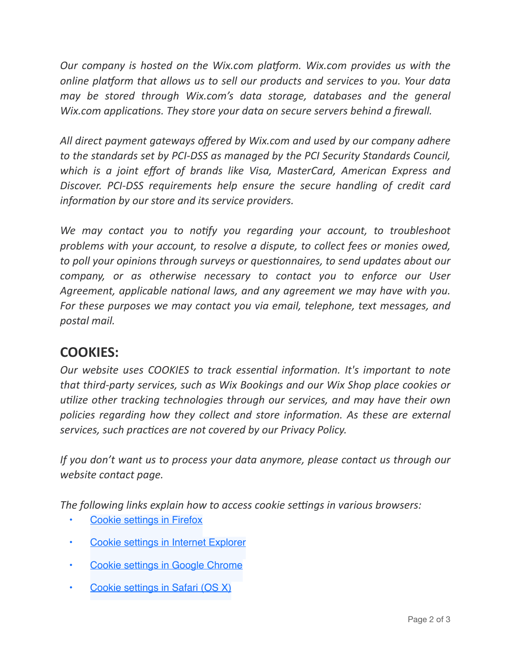*Our company is hosted on the Wix.com platform. Wix.com provides us with the online platform that allows us to sell our products and services to you. Your data may be stored through Wix.com's data storage, databases and the general Wix.com applications. They store your data on secure servers behind a firewall.* 

*All direct payment gateways offered by Wix.com and used by our company adhere to the standards set by PCI-DSS as managed by the PCI Security Standards Council, which is a joint effort of brands like Visa, MasterCard, American Express and Discover. PCI-DSS requirements help ensure the secure handling of credit card information by our store and its service providers.*

We may contact you to notify you regarding your account, to troubleshoot *problems with your account, to resolve a dispute, to collect fees or monies owed, to poll your opinions through surveys or questionnaires, to send updates about our company, or as otherwise necessary to contact you to enforce our User Agreement, applicable national laws, and any agreement we may have with you. For these purposes we may contact you via email, telephone, text messages, and postal mail.*

## **COOKIES:**

*Our website uses COOKIES to track essential information. It's important to note that third-party services, such as Wix Bookings and our Wix Shop place cookies or utilize other tracking technologies through our services, and may have their own policies regarding how they collect and store information. As these are external services, such practices are not covered by our Privacy Policy.*

*If you don't want us to process your data anymore, please contact us through our website contact page.*

*The following links explain how to access cookie settings in various browsers:*

- **[Cookie settings in Firefox](http://support.mozilla.com/en-US/kb/Enabling%20and%20disabling%20cookies)**
- [Cookie settings in Internet Explorer](https://support.microsoft.com/en-us/help/17442/windows-internet-explorer-delete-manage-cookies)
- [Cookie settings in Google Chrome](http://www.google.com/support/chrome/bin/answer.py?answer=95647)
- [Cookie settings in Safari \(OS X\)](http://support.apple.com/kb/PH17191?viewlocale=en_US&locale=en_US)